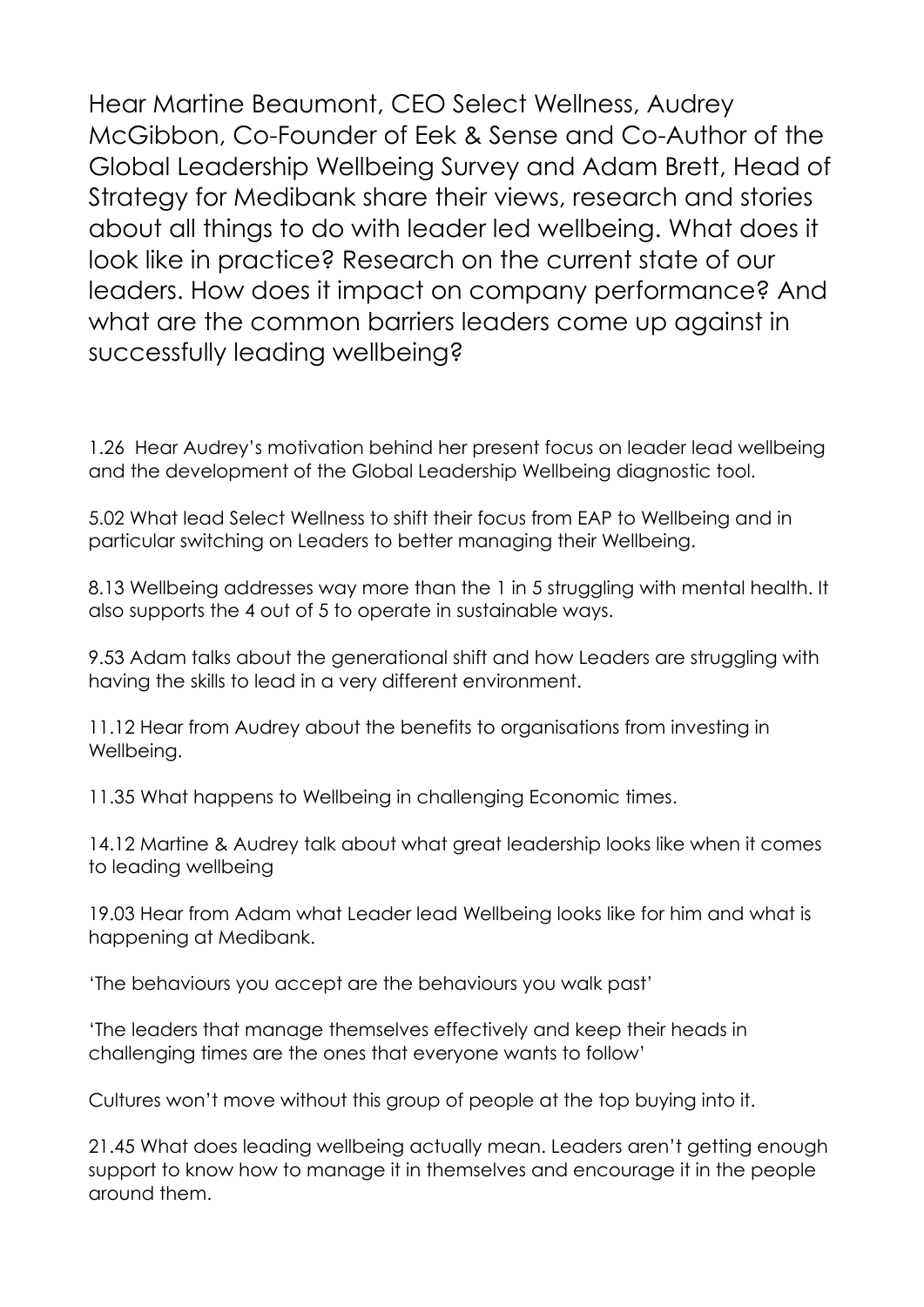Hear Martine Beaumont, CEO Select Wellness, Audrey McGibbon, Co-Founder of Eek & Sense and Co-Author of the Global Leadership Wellbeing Survey and Adam Brett, Head of Strategy for Medibank share their views, research and stories about all things to do with leader led wellbeing. What does it look like in practice? Research on the current state of our leaders. How does it impact on company performance? And what are the common barriers leaders come up against in successfully leading wellbeing?

1.26 Hear Audrey's motivation behind her present focus on leader lead wellbeing and the development of the Global Leadership Wellbeing diagnostic tool.

5.02 What lead Select Wellness to shift their focus from EAP to Wellbeing and in particular switching on Leaders to better managing their Wellbeing.

8.13 Wellbeing addresses way more than the 1 in 5 struggling with mental health. It also supports the 4 out of 5 to operate in sustainable ways.

9.53 Adam talks about the generational shift and how Leaders are struggling with having the skills to lead in a very different environment.

11.12 Hear from Audrey about the benefits to organisations from investing in Wellbeing.

11.35 What happens to Wellbeing in challenging Economic times.

14.12 Martine & Audrey talk about what great leadership looks like when it comes to leading wellbeing

19.03 Hear from Adam what Leader lead Wellbeing looks like for him and what is happening at Medibank.

'The behaviours you accept are the behaviours you walk past'

'The leaders that manage themselves effectively and keep their heads in challenging times are the ones that everyone wants to follow'

Cultures won't move without this group of people at the top buying into it.

21.45 What does leading wellbeing actually mean. Leaders aren't getting enough support to know how to manage it in themselves and encourage it in the people around them.